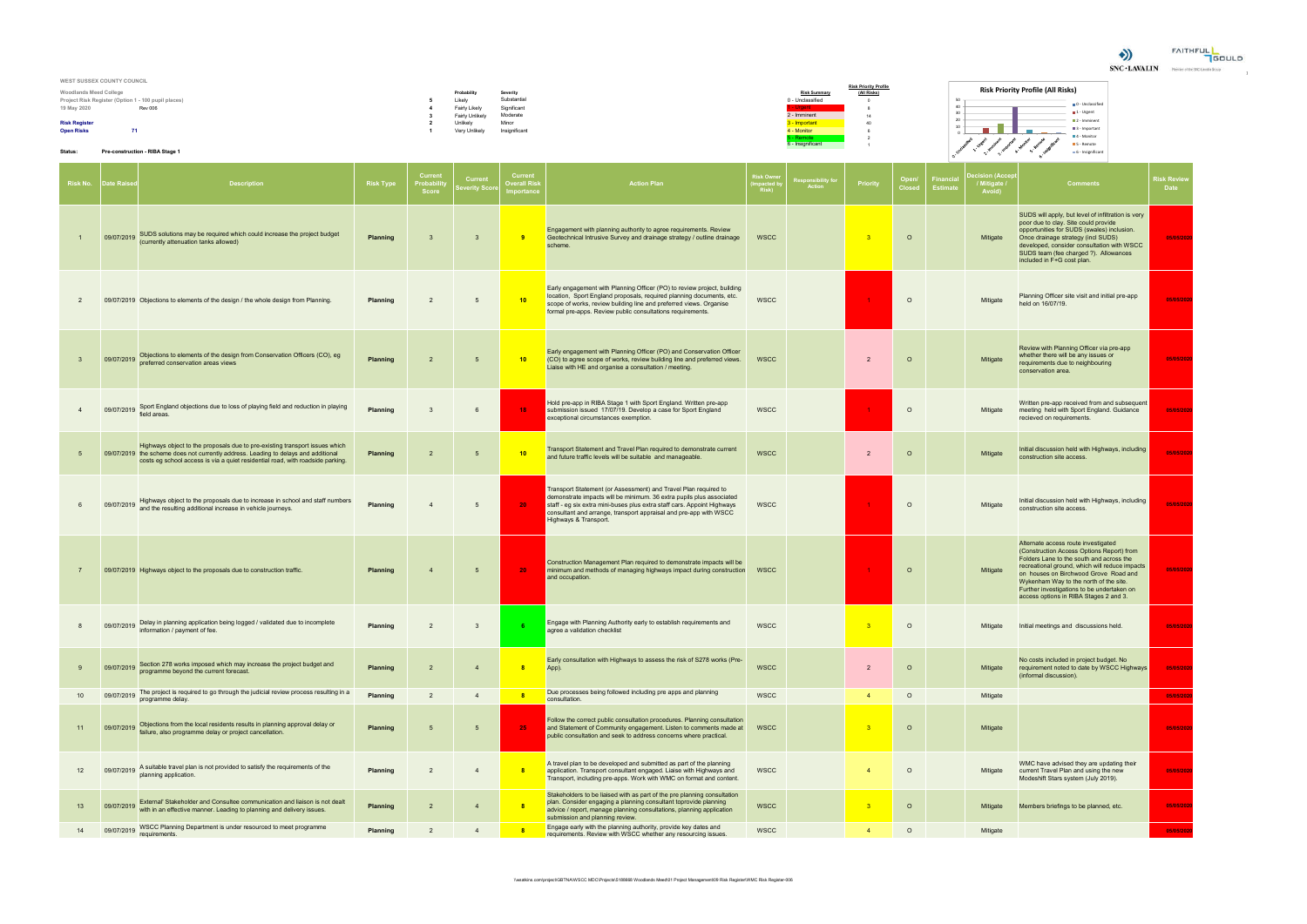

| WEST SUSSEX COUNTY COUNCIL                          |                 |               |                     |                                             |                                          |                             |
|-----------------------------------------------------|-----------------|---------------|---------------------|---------------------------------------------|------------------------------------------|-----------------------------|
| <b>Woodlands Meed College</b>                       | Probability     | Severity      | <b>Risk Summary</b> | <b>Risk Priority Profile</b><br>(All Risks) | <b>Risk Priority Profile (All Risks)</b> |                             |
| Project Risk Register (Option 1 - 100 pupil places) | Likely          | Substantial   | 0 - Unclassified    |                                             |                                          |                             |
| 19 May 2020<br><b>Rev 006</b>                       | Fairly Likely   | Significant   | 'aent               |                                             |                                          | 0 - Unclassified            |
|                                                     | Fairly Unlikely | Moderate      | - Imminent          |                                             |                                          | <b>El 1 - Urgent</b>        |
| <b>Risk Register</b>                                | Jnlikely        | Minor         | - Important         |                                             |                                          | $\blacksquare$ 2 - Imminent |
| 71<br><b>Open Risks</b>                             | Very Unlikely   | Insignificant | 4 - Monitor         |                                             |                                          | B 3 - Important             |
|                                                     |                 |               | Remote              |                                             |                                          | ■4 - Monitor                |
|                                                     |                 |               | 6 - Insignificant   |                                             |                                          | S - Remote                  |
| Status:<br>Pre-construction - RIBA Stage 1          |                 |               |                     |                                             |                                          | 6 - Insignifican            |

|                | <b>Risk No.</b> Date Raise | <b>Description</b>                                                                                                                                                                                                                                  | <b>Risk Type</b> | Curren<br>Probabili<br><b>Score</b> | Curren<br>everity Scor | <b>Current</b><br><b>Dverall Risk</b><br>mportance | <b>Action Plan</b>                                                                                                                                                                                                                                                                                               | Risk Owne<br>mpacted by<br>Risk) | esponsibility fo<br>Action | Priority                | Open/<br><b>Closed</b> | Financia<br>Estimate | <b>ecision (Acce</b><br>/ Mitigate /<br>Avoid) | <b>Comments</b>                                                                                                                                                                                                                                                                                                                                           | <b>Risk Review</b><br><b>Date</b> |
|----------------|----------------------------|-----------------------------------------------------------------------------------------------------------------------------------------------------------------------------------------------------------------------------------------------------|------------------|-------------------------------------|------------------------|----------------------------------------------------|------------------------------------------------------------------------------------------------------------------------------------------------------------------------------------------------------------------------------------------------------------------------------------------------------------------|----------------------------------|----------------------------|-------------------------|------------------------|----------------------|------------------------------------------------|-----------------------------------------------------------------------------------------------------------------------------------------------------------------------------------------------------------------------------------------------------------------------------------------------------------------------------------------------------------|-----------------------------------|
|                | 09/07/2019                 | SUDS solutions may be required which could increase the project budget<br>(currently attenuation tanks allowed)                                                                                                                                     | Planning         | $\overline{3}$                      | $\mathbf{3}$           | 9                                                  | Engagement with planning authority to agree requirements. Review<br>Geotechnical Intrusive Survey and drainage strategy / outline drainage<br>scheme.                                                                                                                                                            | <b>WSCC</b>                      |                            | $^{\circ}$ 3            | $\circ$                |                      | Mitigate                                       | SUDS will apply, but level of infiltration is very<br>poor due to clay. Site could provide<br>opportunities for SUDS (swales) inclusion.<br>Once drainage strategy (incl SUDS)<br>developed, consider consultation with WSCC<br>SUDS team (fee charged ?). Allowances<br>included in F+G cost plan.                                                       | 05/05/2020                        |
| $\overline{2}$ |                            | 09/07/2019 Objections to elements of the design / the whole design from Planning.                                                                                                                                                                   | Planning         | $\overline{2}$                      | 5                      | 10                                                 | Early engagement with Planning Officer (PO) to review project, building<br>location, Sport England proposals, required planning documents, etc.<br>scope of works, review building line and preferred views. Organise<br>formal pre-apps. Review public consultations requirements.                              | <b>WSCC</b>                      |                            |                         | $\circ$                |                      | Mitigate                                       | Planning Officer site visit and initial pre-app<br>held on 16/07/19.                                                                                                                                                                                                                                                                                      | 05/05/2020                        |
|                | 09/07/2019                 | Objections to elements of the design from Conservation Officers (CO), eg<br>preferred conservation areas views                                                                                                                                      | Planning         | $\overline{2}$                      | 5                      | 10                                                 | Early engagement with Planning Officer (PO) and Conservation Officer<br>(CO) to agree scope of works, review building line and preferred views.<br>Liaise with HE and organise a consultation / meeting.                                                                                                         | <b>WSCC</b>                      |                            | $\overline{2}$          | $\circ$                |                      | Mitigate                                       | Review with Planning Officer via pre-app<br>whether there will be any issues or<br>requirements due to neighbouring<br>conservation area.                                                                                                                                                                                                                 | 05/05/2020                        |
|                | 09/07/2019                 | Sport England objections due to loss of playing field and reduction in playing<br>field areas                                                                                                                                                       | Planning         | 3                                   | 6                      | 18 <sub>1</sub>                                    | Hold pre-app in RIBA Stage 1 with Sport England. Written pre-app<br>submission issued 17/07/19. Develop a case for Sport England<br>exceptional circumstances exemption.                                                                                                                                         | <b>WSCC</b>                      |                            | $\blacktriangleleft$    | $\circ$                |                      | Mitigate                                       | Written pre-app received from and subsequent<br>meeting held with Sport England. Guidance<br>recieved on requirements.                                                                                                                                                                                                                                    | 05/05/2020                        |
| 5              |                            | Highways object to the proposals due to pre-existing transport issues which<br>09/07/2019 the scheme does not currently address. Leading to delays and additional<br>costs eg school access is via a quiet residential road, with roadside parking. | Planning         | $\overline{2}$                      | 5                      | 10                                                 | Transport Statement and Travel Plan required to demonstrate current<br>and future traffic levels will be suitable and manageable.                                                                                                                                                                                | <b>WSCC</b>                      |                            | $\overline{2}$          | $\circ$                |                      | Mitigate                                       | Initial discussion held with Highways, including<br>construction site access.                                                                                                                                                                                                                                                                             | 05/05/2020                        |
|                | 09/07/2019                 | Highways object to the proposals due to increase in school and staff numbers<br>and the resulting additional increase in vehicle journeys.                                                                                                          | Planning         |                                     | 5                      | 20                                                 | Transport Statement (or Assessment) and Travel Plan required to<br>demonstrate impacts will be minimum. 36 extra pupils plus associated<br>staff - eg six extra mini-buses plus extra staff cars. Appoint Highways<br>consultant and arrange, transport appraisal and pre-app with WSCC<br>Highways & Transport. | <b>WSCC</b>                      |                            |                         | $\Omega$               |                      | Mitigate                                       | Initial discussion held with Highways, including<br>construction site access.                                                                                                                                                                                                                                                                             | 05/05/2020                        |
| $\overline{7}$ |                            | 09/07/2019 Highways object to the proposals due to construction traffic.                                                                                                                                                                            | Planning         | $\overline{4}$                      | 5                      | 20 <sub>1</sub>                                    | Construction Management Plan required to demonstrate impacts will be<br>minimum and methods of managing highways impact during construction WSCC<br>and occupation.                                                                                                                                              |                                  |                            |                         | $\circ$                |                      | Mitigate                                       | Alternate access route investigated<br>(Construction Access Options Report) from<br>Folders Lane to the south and across the<br>recreational ground, which will reduce impacts<br>on houses on Birchwood Grove Road and<br>Wykenham Way to the north of the site.<br>Further investigations to be undertaken on<br>access options in RIBA Stages 2 and 3. | 05/05/2020                        |
|                | 09/07/2019                 | Delay in planning application being logged / validated due to incomplete<br>information / payment of fee.                                                                                                                                           | Planning         | $\overline{2}$                      | $\mathbf{3}$           |                                                    | Engage with Planning Authority early to establish requirements and<br>agree a validation checklist                                                                                                                                                                                                               | <b>WSCC</b>                      |                            | 3                       | $\circ$                |                      | Mitigate                                       | Initial meetings and discussions held.                                                                                                                                                                                                                                                                                                                    | 05/05/2020                        |
|                | 09/07/2019                 | Section 278 works imposed which may increase the project budget and<br>programme beyond the current forecast.                                                                                                                                       | Planning         | $\overline{2}$                      |                        | $\mathbf{8}$                                       | Early consultation with Highways to assess the risk of S278 works (Pre-<br>App).                                                                                                                                                                                                                                 | <b>WSCC</b>                      |                            | $\overline{2}$          | $\circ$                |                      | Mitigate                                       | No costs included in project budget. No<br>requirement noted to date by WSCC Highways<br>(informal discussion).                                                                                                                                                                                                                                           | 05/05/2020                        |
| 10             | 09/07/2019                 | The project is required to go through the judicial review process resulting in a<br>programme delay.                                                                                                                                                | Planning         | $\overline{2}$                      | $\overline{4}$         | $\overline{\mathbf{8}}$                            | Due processes being followed including pre apps and planning<br>consultation.                                                                                                                                                                                                                                    | <b>WSCC</b>                      |                            | $\overline{4}$          | $\circ$                |                      | Mitigate                                       |                                                                                                                                                                                                                                                                                                                                                           | 05/05/2020                        |
| 11             | 09/07/2019                 | Objections from the local residents results in planning approval delay or<br>failure, also programme delay or project cancellation.                                                                                                                 | Planning         | 5                                   | 5                      | $25 -$                                             | Follow the correct public consultation procedures. Planning consultation<br>and Statement of Community engagement. Listen to comments made at<br>public consultation and seek to address concerns where practical.                                                                                               | <b>WSCC</b>                      |                            | $\overline{\mathbf{3}}$ | $\circ$                |                      | Mitigate                                       |                                                                                                                                                                                                                                                                                                                                                           | 05/05/2020                        |
| 12             | 09/07/2019                 | A suitable travel plan is not provided to satisfy the requirements of the<br>planning application.                                                                                                                                                  | Planning         | $\overline{2}$                      | $\overline{4}$         | 8 <sup>2</sup>                                     | A travel plan to be developed and submitted as part of the planning<br>application. Transport consultant engaged. Liaise with Highways and<br>Transport, including pre-apps. Work with WMC on format and content.                                                                                                | <b>WSCC</b>                      |                            | $\overline{4}$          | $\circ$                |                      | Mitigate                                       | WMC have advised they are updating their<br>current Travel Plan and using the new<br>Modeshift Stars system (July 2019).                                                                                                                                                                                                                                  | 05/05/2020                        |
| 13             | 09/07/2019                 | External' Stakeholder and Consultee communication and liaison is not dealt<br>with in an effective manner. Leading to planning and delivery issues.                                                                                                 | <b>Planning</b>  | $\overline{2}$                      | $\overline{4}$         |                                                    | Stakeholders to be liaised with as part of the pre planning consultation<br>plan. Consider engaging a planning consultant toprovide planning<br>advice / report, manage planning consultations, planning application<br>submission and planning review.                                                          | <b>WSCC</b>                      |                            | $\overline{\mathbf{3}}$ | $\circ$                |                      | Mitigate                                       | Members briefings to be planned, etc.                                                                                                                                                                                                                                                                                                                     | 05/05/2020                        |
| 14             | 09/07/2019                 | WSCC Planning Department is under resourced to meet programme<br>requirements.                                                                                                                                                                      | <b>Planning</b>  | $\overline{2}$                      | $\overline{4}$         | $\overline{\phantom{a}}$ 8                         | Engage early with the planning authority, provide key dates and<br>requirements. Review with WSCC whether any resourcing issues.                                                                                                                                                                                 | <b>WSCC</b>                      |                            | $\overline{4}$          | $\circ$                |                      | Mitigate                                       |                                                                                                                                                                                                                                                                                                                                                           | 05/05/2020                        |

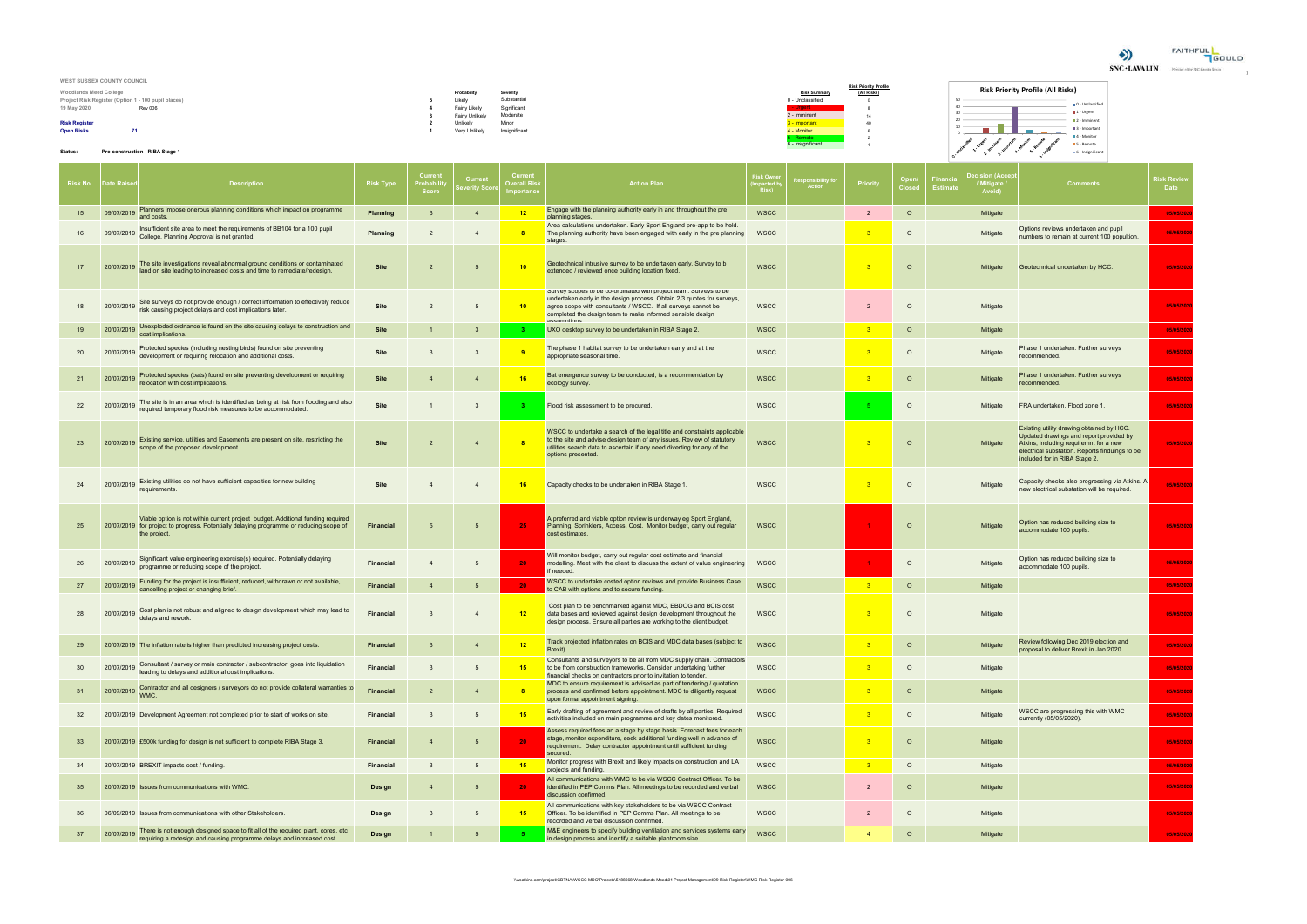

| WEST SUSSEX COUNTY COUNCIL                          |                        |               |                     |                              |                              |
|-----------------------------------------------------|------------------------|---------------|---------------------|------------------------------|------------------------------|
|                                                     |                        |               |                     | <b>Risk Priority Profile</b> | <b>Ris</b>                   |
| <b>Woodlands Meed College</b>                       | Probability            | Severity      | <b>Risk Summary</b> | (All Risks)                  |                              |
| Project Risk Register (Option 1 - 100 pupil places) | Likely                 | Substantial   | 0 - Unclassified    |                              | 50                           |
| 19 May 2020<br><b>Rev 006</b>                       | Fairly Likely          | Significant   | - Urgent            |                              | 40                           |
|                                                     | <b>Fairly Unlikely</b> | Moderate      | 2 - Imminent        | 14                           |                              |
| <b>Risk Register</b>                                | Unlikely               | Minor         | 3 - Important       | 40                           | -20                          |
| <b>Open Risks</b><br>71.                            | Very Unlikely          | Insignificant | 4 - Monitor         |                              | and the contract of the con- |
|                                                     |                        |               | - Remote            |                              |                              |
|                                                     |                        |               | 6 - Insignificant   |                              |                              |

## **Status: Pre-construction - RIBA Stage 1**

# **Risk Priority Profile (All Risks)**

|                                       | $\blacksquare$ 0 - Unclassified |
|---------------------------------------|---------------------------------|
|                                       | $\blacksquare$ 1 - Urgent       |
|                                       | $\blacksquare$ 2 - Imminent     |
|                                       | 3 - Important                   |
|                                       | $\blacksquare$ 4 - Monitor      |
| Immingers<br>A . Monitor<br>S- Remote | S - Remote                      |
| 6-Insignificant<br>3. Important       | 6 - Insignificant               |
|                                       |                                 |

|    | <b>Risk No. │ Date Raise</b> | <b>Description</b>                                                                                                                                                                         | <b>Risk Type</b> | Curren<br>Probabil<br><b>Score</b> | Curren<br>everity Sco | <b>Current</b><br>)verall Risl<br>nportance | <b>Action Plan</b>                                                                                                                                                                                                                                                                       | ใisk Ownต<br>npacted b<br>Risk) | esponsibility fo<br>Action | <b>Priority</b>         | Open/<br>Closed | Financi<br><b>Estimat</b> | <b>cision (Acce</b><br>/ Mitigate /<br>Avoid) | <b>Comments</b>                                                                                                                                                                                                   | ใisk Review<br>Date |
|----|------------------------------|--------------------------------------------------------------------------------------------------------------------------------------------------------------------------------------------|------------------|------------------------------------|-----------------------|---------------------------------------------|------------------------------------------------------------------------------------------------------------------------------------------------------------------------------------------------------------------------------------------------------------------------------------------|---------------------------------|----------------------------|-------------------------|-----------------|---------------------------|-----------------------------------------------|-------------------------------------------------------------------------------------------------------------------------------------------------------------------------------------------------------------------|---------------------|
| 15 | 09/07/2019                   | Planners impose onerous planning conditions which impact on programme<br>and costs.                                                                                                        | Planning         | $\mathbf{3}$                       | -4                    | 12                                          | Engage with the planning authority early in and throughout the pre<br>planning stages.                                                                                                                                                                                                   | <b>WSCC</b>                     |                            | $\overline{2}$          | $\circ$         |                           | Mitigate                                      |                                                                                                                                                                                                                   | 05/05/2020          |
|    | 09/07/2019                   | Insufficient site area to meet the requirements of BB104 for a 100 pupil<br>College. Planning Approval is not granted.                                                                     | Planning         | $\overline{2}$                     | -4                    | $\mathbf{8}$                                | Area calculations undertaken. Early Sport England pre-app to be held.<br>The planning authority have been engaged with early in the pre planning<br>stages.                                                                                                                              | <b>WSCC</b>                     |                            | -3                      | $\circ$         |                           | Mitigate                                      | Options reviews undertaken and pupil<br>numbers to remain at current 100 popultion.                                                                                                                               | 05/05/2020          |
| 17 | 20/07/2019                   | The site investigations reveal abnormal ground conditions or contaminated<br>land on site leading to increased costs and time to remediate/redesign.                                       | <b>Site</b>      | $\overline{2}$                     | $5\overline{5}$       | 10                                          | Geotechnical intrusive survey to be undertaken early. Survey to b<br>extended / reviewed once building location fixed.                                                                                                                                                                   | <b>WSCC</b>                     |                            | - 3                     | $\circ$         |                           | Mitigate                                      | Geotechnical undertaken by HCC.                                                                                                                                                                                   | 05/05/2020          |
| 18 | 20/07/2019                   | Site surveys do not provide enough / correct information to effectively reduce<br>risk causing project delays and cost implications later.                                                 | <b>Site</b>      | $\overline{2}$                     | 5                     | 10 <sub>1</sub>                             | Survey scopes to be co-oramated with project team. Surveys to be<br>undertaken early in the design process. Obtain 2/3 quotes for surveys,<br>agree scope with consultants / WSCC. If all surveys cannot be<br>completed the design team to make informed sensible design<br>accumntione | <b>WSCC</b>                     |                            | $\overline{2}$          | $\circ$         |                           | Mitigate                                      |                                                                                                                                                                                                                   | 05/05/2020          |
| 19 | 20/07/2019                   | Unexploded ordnance is found on the site causing delays to construction and<br>cost implications.                                                                                          | <b>Site</b>      |                                    | -3                    |                                             | JXO desktop survey to be undertaken in RIBA Stage 2.                                                                                                                                                                                                                                     | <b>WSCC</b>                     |                            | 3 <sup>2</sup>          | $\circ$         |                           | Mitigate                                      |                                                                                                                                                                                                                   | 05/05/2020          |
| 20 | 20/07/2019                   | Protected species (including nesting birds) found on site preventing<br>development or requiring relocation and additional costs.                                                          | <b>Site</b>      | 3                                  | $\mathbf{3}$          | -9                                          | The phase 1 habitat survey to be undertaken early and at the<br>appropriate seasonal time.                                                                                                                                                                                               | <b>WSCC</b>                     |                            | $^{\circ}$ 3            | $\circ$         |                           | Mitigate                                      | Phase 1 undertaken. Further surveys<br>recommended.                                                                                                                                                               | 05/05/2020          |
| 21 | 20/07/2019                   | Protected species (bats) found on site preventing development or requiring<br>relocation with cost implications.                                                                           | <b>Site</b>      | $\overline{4}$                     | $\overline{4}$        | 16                                          | Bat emergence survey to be conducted, is a recommendation by<br>ecology survey.                                                                                                                                                                                                          | <b>WSCC</b>                     |                            | $\overline{\mathbf{3}}$ | $\circ$         |                           | Mitigate                                      | Phase 1 undertaken. Further surveys<br>recommended.                                                                                                                                                               | 05/05/2020          |
| 22 | 20/07/201                    | The site is in an area which is identified as being at risk from flooding and also<br>required temporary flood risk measures to be accommodated.                                           | <b>Site</b>      |                                    | $\overline{3}$        |                                             | Flood risk assessment to be procured.                                                                                                                                                                                                                                                    | <b>WSCC</b>                     |                            |                         | $\circ$         |                           | Mitigate                                      | FRA undertaken, Flood zone 1.                                                                                                                                                                                     | 05/05/2020          |
| 23 | 20/07/2019                   | Existing service, utilities and Easements are present on site, restricting the<br>scope of the proposed development.                                                                       | <b>Site</b>      | $\overline{2}$                     | -4                    | $\mathbf{8}$                                | WSCC to undertake a search of the legal title and constraints applicable<br>to the site and advise design team of any issues. Review of statutory<br>utilities search data to ascertain if any need diverting for any of the<br>options presented.                                       | <b>WSCC</b>                     |                            |                         | $\circ$         |                           | Mitigate                                      | Existing utility drawing obtained by HCC.<br>Updated drawings and report provided by<br>Atkins, including requiremnt for a new<br>electrical substation. Reports finduings to be<br>included for in RIBA Stage 2. | 05/05/2020          |
| 24 | 20/07/2019                   | Existing utilities do not have sufficient capacities for new building<br>requirements                                                                                                      | Site             |                                    | $\overline{4}$        | 16                                          | Capacity checks to be undertaken in RIBA Stage 1.                                                                                                                                                                                                                                        | <b>WSCC</b>                     |                            | $^{\circ}$ 3            | $\circ$         |                           | Mitigate                                      | Capacity checks also progressing via Atkins. A<br>new electrical substation will be required.                                                                                                                     | 05/05/2020          |
| 25 |                              | Viable option is not within current project budget. Additional funding required<br>20/07/2019 for project to progress. Potentially delaying programme or reducing scope of<br>the project. | Financial        | $5\overline{5}$                    | 5                     | 25                                          | A preferred and viable option review is underway eg Sport England,<br>Planning, Sprinklers, Access, Cost. Monitor budget, carry out regular<br>cost estimates.                                                                                                                           | <b>WSCC</b>                     |                            |                         | $\circ$         |                           | Mitigate                                      | Option has reduced building size to<br>accommodate 100 pupils.                                                                                                                                                    | 05/05/2020          |
|    | 20/07/2019                   | Significant value engineering exercise(s) required. Potentially delaying<br>programme or reducing scope of the project.                                                                    | <b>Financial</b> | $\overline{4}$                     | 5                     | 20 <sub>1</sub>                             | Will monitor budget, carry out regular cost estimate and financial<br>modelling. Meet with the client to discuss the extent of value engineering<br>if needed.                                                                                                                           | <b>WSCC</b>                     |                            | $\blacktriangleleft$    | $\circ$         |                           | Mitigate                                      | Option has reduced building size to<br>accommodate 100 pupils.                                                                                                                                                    | 05/05/2020          |
| 27 | 20/07/2019                   | Funding for the project is insufficient, reduced, withdrawn or not available,<br>cancelling project or changing brief.                                                                     | <b>Financial</b> | $\overline{4}$                     | -5                    | 20                                          | WSCC to undertake costed option reviews and provide Business Case<br>to CAB with options and to secure funding.                                                                                                                                                                          | <b>WSCC</b>                     |                            | $\overline{\mathbf{3}}$ | $\circ$         |                           | Mitigate                                      |                                                                                                                                                                                                                   | 05/05/2020          |
| 28 |                              | Cost plan is not robust and aligned to design development which may lead to<br>delays and rework.                                                                                          | <b>Financial</b> | 3                                  | -4                    | 12                                          | Cost plan to be benchmarked against MDC, EBDOG and BCIS cost<br>data bases and reviewed against design development throughout the<br>design process. Ensure all parties are working to the client budget.                                                                                | <b>WSCC</b>                     |                            |                         | $\circ$         |                           | Mitigate                                      |                                                                                                                                                                                                                   | 05/05/2020          |
| 29 |                              | 20/07/2019 The inflation rate is higher than predicted increasing project costs.                                                                                                           | <b>Financial</b> | 3                                  | $\overline{4}$        | 12                                          | Track projected inflation rates on BCIS and MDC data bases (subject to<br>Brexit).                                                                                                                                                                                                       | <b>WSCC</b>                     |                            | $\overline{\mathbf{3}}$ | $\circ$         |                           | Mitigate                                      | Review following Dec 2019 election and<br>proposal to deliver Brexit in Jan 2020.                                                                                                                                 | 05/05/2020          |
| 30 | 20/07/2019                   | Consultant / survey or main contractor / subcontractor goes into liquidation<br>leading to delays and additional cost implications.                                                        | <b>Financial</b> |                                    | -5                    | 15                                          | Consultants and surveyors to be all from MDC supply chain. Contractors<br>to be from construction frameworks. Consider undertaking further<br>financial checks on contractors prior to invitation to tender.                                                                             | <b>WSCC</b>                     |                            |                         | $\circ$         |                           | Mitigate                                      |                                                                                                                                                                                                                   | 05/05/2020          |
| 31 | 20/07/2019                   | Contractor and all designers / surveyors do not provide collateral warranties to<br>WMC.                                                                                                   | <b>Financial</b> | $\overline{2}$                     | $\overline{4}$        | 8                                           | MDC to ensure requirement is advised as part of tendering / quotation<br>process and confirmed before appointment. MDC to diligently request<br>upon formal appointment signing.                                                                                                         | <b>WSCC</b>                     |                            | $\overline{\mathbf{3}}$ | $\circ$         |                           | Mitigate                                      |                                                                                                                                                                                                                   | 05/05/2020          |
| 32 |                              | 20/07/2019 Development Agreement not completed prior to start of works on site,                                                                                                            | <b>Financial</b> | 3                                  | 5                     | 15                                          | Early drafting of agreement and review of drafts by all parties. Required<br>activities included on main programme and key dates monitored.                                                                                                                                              | <b>WSCC</b>                     |                            | $\overline{\mathbf{3}}$ | $\circ$         |                           | Mitigate                                      | WSCC are progressing this with WMC<br>currently (05/05/2020).                                                                                                                                                     | 05/05/2020          |
| 33 |                              | 20/07/2019 £500k funding for design is not sufficient to complete RIBA Stage 3.                                                                                                            | Financial        | $\overline{4}$                     | $5\overline{5}$       | 20 <sub>1</sub>                             | Assess required fees an a stage by stage basis. Forecast fees for each<br>stage, monitor expenditure, seek additional funding well in advance of<br>requirement. Delay contractor appointment until sufficient funding<br>secured.                                                       | <b>WSCC</b>                     |                            | $\overline{\mathbf{3}}$ | $\circ$         |                           | Mitigate                                      |                                                                                                                                                                                                                   | 05/05/2020          |
| 34 |                              | 20/07/2019 BREXIT impacts cost / funding.                                                                                                                                                  | <b>Financial</b> | $\overline{3}$                     | 5                     | 15                                          | Monitor progress with Brexit and likely impacts on construction and LA<br>projects and funding.                                                                                                                                                                                          | <b>WSCC</b>                     |                            | $\overline{\mathbf{3}}$ | $\circ$         |                           | Mitigate                                      |                                                                                                                                                                                                                   | 05/05/2020          |
| 35 |                              | 20/07/2019 Issues from communications with WMC.                                                                                                                                            | <b>Design</b>    | $\overline{4}$                     | 5                     | 20 <sub>1</sub>                             | All communications with WMC to be via WSCC Contract Officer. To be<br>identified in PEP Comms Plan. All meetings to be recorded and verbal<br>discussion confirmed.                                                                                                                      | <b>WSCC</b>                     |                            | $\overline{2}$          | $\circ$         |                           | Mitigate                                      |                                                                                                                                                                                                                   | 05/05/2020          |
| 36 |                              | 06/09/2019 Issues from communications with other Stakeholders.                                                                                                                             | Design           | $\overline{3}$                     | 5                     | 15                                          | All communications with key stakeholders to be via WSCC Contract<br>Officer. To be identified in PEP Comms Plan. All meetings to be<br>recorded and verbal discussion confirmed.                                                                                                         | <b>WSCC</b>                     |                            | $\overline{2}$          | $\circ$         |                           | Mitigate                                      |                                                                                                                                                                                                                   | 05/05/2020          |
| 37 | 20/07/2019                   | There is not enough designed space to fit all of the required plant, cores, etc<br>requiring a redesign and causing programme delays and increased cost.                                   | Design           |                                    |                       |                                             | M&E engineers to specify building ventilation and services systems early<br>n design process and identify a suitable plantroom size.                                                                                                                                                     | <b>WSCC</b>                     |                            |                         | $\circ$         |                           | Mitigate                                      |                                                                                                                                                                                                                   | 05/05/2020          |

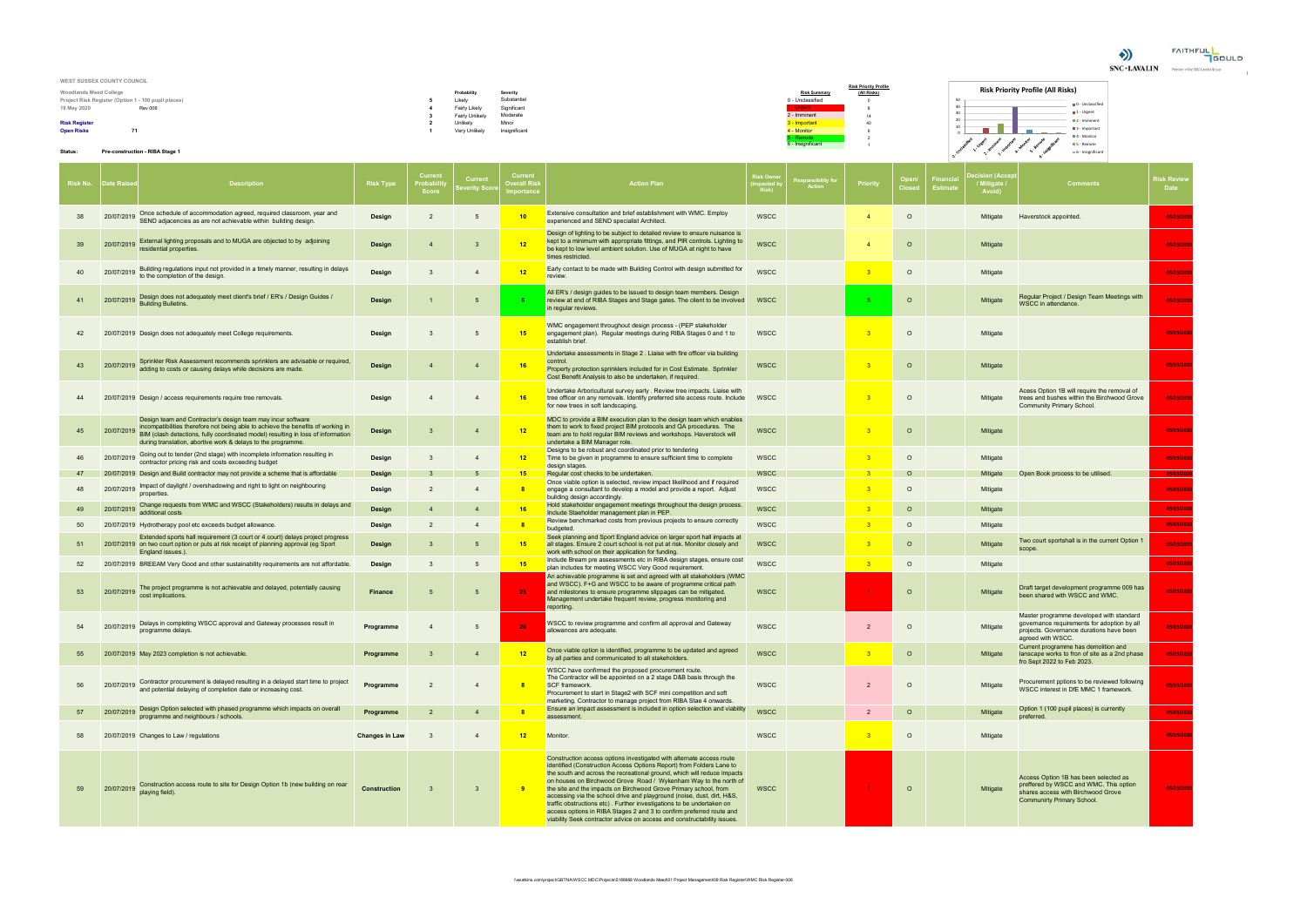

| WEST SUSSEX COUNTY COUNCIL                          |                 |               |                                                      |                              |                                          |
|-----------------------------------------------------|-----------------|---------------|------------------------------------------------------|------------------------------|------------------------------------------|
|                                                     |                 |               |                                                      | <b>Risk Priority Profile</b> | <b>Risk Priority Profile (All Risks)</b> |
| <b>Woodlands Meed College</b>                       | Probabil        | Severit∖      | <b>Risk Summary</b>                                  | (All Risks)                  |                                          |
| Project Risk Register (Option 1 - 100 pupil places) | Likely          | Substantial   | 0 - Unclassified                                     |                              |                                          |
| 19 May 2020<br><b>Rev 006</b>                       | Fairly Likely   | Significant   | Urgent                                               |                              |                                          |
|                                                     | Fairly Unlikely | Moderate      | 2 - Imminent                                         |                              |                                          |
| <b>Risk Register</b>                                | Unlikely        | Minor         | - Important                                          |                              | $\overline{2}$                           |
| <b>Open Risks</b>                                   | Very Unlikely   | Insignificant | 4 - Monitor                                          |                              |                                          |
|                                                     |                 |               | - Remote<br>the contract of the contract of the con- |                              | $-4$                                     |

## **Pre-construction - RIBA Stage 1**

| 19 May 2020          |                     | <b>Rev 006</b>                                                                                                                                                                                                                                                                                      |                       |                                     | <b>Fairly Likely</b><br><b>Fairly Unlikely</b> | Significant<br>Moderate                     |                                                                                                                                                                                                                                                                                                                                                                                                                                                                                                                                                                                                                                                                       |                                       | 2 - Imminent                |                         |          |                                                                       | <b>0</b> - Unclassifie<br>$\blacksquare$ 1 - Urgent                                                                                                        |                     |
|----------------------|---------------------|-----------------------------------------------------------------------------------------------------------------------------------------------------------------------------------------------------------------------------------------------------------------------------------------------------|-----------------------|-------------------------------------|------------------------------------------------|---------------------------------------------|-----------------------------------------------------------------------------------------------------------------------------------------------------------------------------------------------------------------------------------------------------------------------------------------------------------------------------------------------------------------------------------------------------------------------------------------------------------------------------------------------------------------------------------------------------------------------------------------------------------------------------------------------------------------------|---------------------------------------|-----------------------------|-------------------------|----------|-----------------------------------------------------------------------|------------------------------------------------------------------------------------------------------------------------------------------------------------|---------------------|
| <b>Risk Register</b> |                     |                                                                                                                                                                                                                                                                                                     |                       |                                     | Unlikely                                       | Minor                                       |                                                                                                                                                                                                                                                                                                                                                                                                                                                                                                                                                                                                                                                                       |                                       | 3 - Important               | 40                      |          |                                                                       | $\blacksquare$ 2 - Imminen<br>$\blacksquare$ 3 - Important                                                                                                 |                     |
| <b>Open Risks</b>    | 71                  |                                                                                                                                                                                                                                                                                                     |                       |                                     | Very Unlikely                                  | Insignificant                               |                                                                                                                                                                                                                                                                                                                                                                                                                                                                                                                                                                                                                                                                       |                                       | 4 - Monitor<br>- Remote     | $\overline{2}$          |          |                                                                       | <b>■4</b> - Monitor                                                                                                                                        |                     |
| Status:              |                     | Pre-construction - RIBA Stage 1                                                                                                                                                                                                                                                                     |                       |                                     |                                                |                                             |                                                                                                                                                                                                                                                                                                                                                                                                                                                                                                                                                                                                                                                                       |                                       | 6 - Insignificant           |                         |          |                                                                       | 5 - Remote<br>6 - Insignificant                                                                                                                            |                     |
|                      | Risk No. Date Raise | <b>Description</b>                                                                                                                                                                                                                                                                                  | <b>Risk Type</b>      | Current<br>Probabil<br><b>Score</b> | <b>Current</b><br>everity Scoi                 | Current<br><b>Dverall Risk</b><br>nportance | <b>Action Plan</b>                                                                                                                                                                                                                                                                                                                                                                                                                                                                                                                                                                                                                                                    | <b>Risk Own</b><br>npacted l<br>Risk) | esponsibility for<br>Action | Priority                | Open.    | ecision (Acce<br>Financia<br>/ Mitigate /<br><b>Estimat</b><br>Avoid) | <b>Comments</b>                                                                                                                                            | Risk Review<br>Date |
| 38                   | 20/07/2019          | Once schedule of accommodation agreed, required classroom, year and<br>SEND adjacencies as are not achievable within building design.                                                                                                                                                               | Design                | $\overline{2}$                      | 5                                              | 10                                          | Extensive consultation and brief establishment with WMC. Employ<br>experienced and SEND specialist Architect.                                                                                                                                                                                                                                                                                                                                                                                                                                                                                                                                                         | <b>WSCC</b>                           |                             | $\overline{4}$          | $\circ$  | Mitigate                                                              | Haverstock appointed.                                                                                                                                      | 05/05/2020          |
| 39                   | 20/07/2019          | External lighting proposals and to MUGA are objected to by adjoining<br>residential properties.                                                                                                                                                                                                     | Design                | $\overline{4}$                      | 3                                              | 12                                          | Design of lighting to be subject to detailed review to ensure nuisance is<br>kept to a minimum with appropriate fittings, and PIR controls. Lighting to<br>be kept to low level ambient solution. Use of MUGA at night to have<br>times restricted.                                                                                                                                                                                                                                                                                                                                                                                                                   | <b>WSCC</b>                           |                             | $\overline{4}$          | $\circ$  | Mitigate                                                              |                                                                                                                                                            | 05/05/2020          |
| 40                   | 20/07/2019          | Building regulations input not provided in a timely manner, resulting in delays<br>to the completion of the design.                                                                                                                                                                                 | <b>Design</b>         | 3                                   | $\overline{4}$                                 | 12                                          | Early contact to be made with Building Control with design submitted for<br>review.                                                                                                                                                                                                                                                                                                                                                                                                                                                                                                                                                                                   | <b>WSCC</b>                           |                             | 3                       | $\circ$  | Mitigate                                                              |                                                                                                                                                            | 05/05/2020          |
| 41                   | 20/07/2019          | Design does not adequately meet client's brief / ER's / Design Guides /<br><b>Building Bulletins.</b>                                                                                                                                                                                               | Design                | $\mathbf{1}$                        | -5                                             |                                             | All ER's / design guides to be issued to design team members. Design<br>review at end of RIBA Stages and Stage gates. The client to be involved<br>in regular reviews.                                                                                                                                                                                                                                                                                                                                                                                                                                                                                                | <b>WSCC</b>                           |                             | -5                      | $\circ$  | Mitigate                                                              | Regular Project / Design Team Meetings with<br>WSCC in attendance.                                                                                         | 05/05/2020          |
| 42                   |                     | 20/07/2019 Design does not adequately meet College requirements.                                                                                                                                                                                                                                    | Design                | 3                                   | -5                                             | 15                                          | WMC engagement throughout design process - (PEP stakeholder<br>engagement plan). Regular meetings during RIBA Stages 0 and 1 to<br>establish brief.                                                                                                                                                                                                                                                                                                                                                                                                                                                                                                                   | <b>WSCC</b>                           |                             | - 3                     | $\circ$  | Mitigate                                                              |                                                                                                                                                            | 05/05/2020          |
| 43                   | 20/07/2019          | Sprinkler Risk Assessment recommends sprinklers are advisable or required,<br>adding to costs or causing delays while decisions are made.                                                                                                                                                           | Design                | $\overline{4}$                      | $\overline{4}$                                 | 16                                          | Undertake assessments in Stage 2. Liaise with fire officer via building<br>control.<br>Property protection sprinklers included for in Cost Estimate. Sprinkler<br>Cost Benefit Analysis to also be undertaken, if required.                                                                                                                                                                                                                                                                                                                                                                                                                                           | WSCC                                  |                             | $^{\circ}$ 3            | $\circ$  | Mitigate                                                              |                                                                                                                                                            | 05/05/2020          |
| 44                   |                     | 20/07/2019 Design / access requirements require tree removals.                                                                                                                                                                                                                                      | Design                | $\overline{4}$                      | $\overline{4}$                                 | 16                                          | Undertake Arboricultural survey early . Review tree impacts. Liaise with<br>tree officer on any removals. Identify preferred site access route. Include<br>for new trees in soft landscaping.                                                                                                                                                                                                                                                                                                                                                                                                                                                                         | <b>WSCC</b>                           |                             | -3                      | $\circ$  | Mitigate                                                              | Acess Option 1B will require the removal of<br>trees and bushes within the Birchwood Grove<br><b>Community Primary School.</b>                             | 05/05/2020          |
| 45                   | 20/07/2019          | Design team and Contractor's design team may incur software<br>incompatibilities therefore not being able to achieve the benefits of working in<br>BIM (clash detections, fully coordinated model) resulting in loss of information<br>during translation, abortive work & delays to the programme. | Design                | $\overline{3}$                      | $\overline{4}$                                 | 12                                          | MDC to provide a BIM execution plan to the design team which enables<br>them to work to fixed project BIM protocols and QA procedures. The<br>team are to hold regular BIM reviews and workshops. Haverstock will<br>undertake a BIM Manager role.                                                                                                                                                                                                                                                                                                                                                                                                                    | <b>WSCC</b>                           |                             | $^{\circ}$ 3            | $\circ$  | Mitigate                                                              |                                                                                                                                                            | 05/05/2020          |
|                      | 20/07/2019          | Going out to tender (2nd stage) with incomplete information resulting in<br>contractor pricing risk and costs exceeding budget                                                                                                                                                                      | Design                | 3                                   | $\overline{4}$                                 | $-12$                                       | Designs to be robust and coordinated prior to tendering<br>Time to be given in programme to ensure sufficient time to complete<br>design stages.                                                                                                                                                                                                                                                                                                                                                                                                                                                                                                                      | <b>WSCC</b>                           |                             | $^{\circ}$ 3            | $\circ$  | Mitigate                                                              |                                                                                                                                                            | 05/05/2020          |
| 47                   |                     | 20/07/2019 Design and Build contractor may not provide a scheme that is affordable                                                                                                                                                                                                                  | Design                | 3                                   |                                                | 15                                          | Regular cost checks to be undertaken.                                                                                                                                                                                                                                                                                                                                                                                                                                                                                                                                                                                                                                 | <b>WSCC</b>                           |                             | $\overline{\mathbf{3}}$ | $\circ$  | Mitigate                                                              | Open Book process to be utilised                                                                                                                           | 05/05/20            |
| 48                   | 20/07/2019          | Impact of daylight / overshadowing and right to light on neighbouring<br>properties.                                                                                                                                                                                                                | Design                | $\overline{2}$                      | $\overline{4}$                                 | $\overline{\mathbf{8}}$                     | Once viable option is selected, review impact likelihood and if required<br>engage a consultant to develop a model and provide a report. Adjust<br>building design accordingly.                                                                                                                                                                                                                                                                                                                                                                                                                                                                                       | <b>WSCC</b>                           |                             | $_{3}$                  | $\circ$  | Mitigate                                                              |                                                                                                                                                            | 05/05/2020          |
| 49                   | 20/07/2019          | Change requests from WMC and WSCC (Stakeholders) results in delays and<br>additional costs                                                                                                                                                                                                          | Design                | $\overline{4}$                      | $\overline{4}$                                 | 16                                          | Hold stakeholder engagement meetings throughout the design process.<br>Include Staeholder management plan in PEP.                                                                                                                                                                                                                                                                                                                                                                                                                                                                                                                                                     | <b>WSCC</b>                           |                             | $_{3}$                  | $\circ$  | Mitigate                                                              |                                                                                                                                                            | 05/05/202           |
| 50                   |                     | 20/07/2019 Hydrotherapy pool etc exceeds budget allowance.                                                                                                                                                                                                                                          | Design                | $\overline{2}$                      | $\overline{4}$                                 | $\overline{\mathbf{8}}$                     | Review benchmarked costs from previous projects to ensure correctly<br>budgeted.                                                                                                                                                                                                                                                                                                                                                                                                                                                                                                                                                                                      | <b>WSCC</b>                           |                             | $^{\circ}$ 3            | $\circ$  | Mitigate                                                              |                                                                                                                                                            | 05/05/2020          |
| 51                   |                     | Extended sports hall requirement (3 court or 4 court) delays project progress<br>20/07/2019 on two court option or puts at risk receipt of planning approval (eg Sport<br>England issues.).                                                                                                         | Design                | $\mathbf{3}$                        | -5                                             | 15                                          | Seek planning and Sport England advice on larger sport hall impacts at<br>all stages. Ensure 2 court school is not put at risk. Monitor closely and<br>work with school on their application for funding.                                                                                                                                                                                                                                                                                                                                                                                                                                                             | <b>WSCC</b>                           |                             | - 3                     | $\circ$  | Mitigate                                                              | Two court sportshall is in the current Option 1<br>scope.                                                                                                  | 05/05/2020          |
| 52                   |                     | 20/07/2019 BREEAM Very Good and other sustainability requirements are not affordable.                                                                                                                                                                                                               | Design                | 3                                   | 5                                              | 15                                          | Include Bream pre assessments etc in RIBA design stages, ensure cost<br>plan includes for meeting WSCC Very Good requirement.                                                                                                                                                                                                                                                                                                                                                                                                                                                                                                                                         | <b>WSCC</b>                           |                             | $\overline{\mathbf{3}}$ | $\circ$  | Mitigate                                                              |                                                                                                                                                            | 05/05/2020          |
| 53                   | 20/07/2019          | The project programme is not achievable and delayed, potentially causing<br>cost implications.                                                                                                                                                                                                      | Finance               | 5                                   | -5                                             | $25 -$                                      | An achievable programme is set and agreed with all stakeholders (WMC<br>and WSCC). F+G and WSCC to be aware of programme critical path<br>and milestones to ensure programme slippages can be mitigated.<br>Management undertake frequent review, progress monitoring and<br>reporting.                                                                                                                                                                                                                                                                                                                                                                               | <b>WSCC</b>                           |                             |                         | $\Omega$ | Mitigate                                                              | Draft target development programme 009 has<br>been shared with WSCC and WMC.                                                                               | 05/05/2020          |
| 54                   | 20/07/2019          | Delays in completing WSCC approval and Gateway processes result in<br>programme delays.                                                                                                                                                                                                             | Programme             | $\overline{4}$                      | 5 <sup>5</sup>                                 | 20                                          | WSCC to review programme and confirm all approval and Gateway<br>allowances are adequate.                                                                                                                                                                                                                                                                                                                                                                                                                                                                                                                                                                             | <b>WSCC</b>                           |                             | $\overline{2}$          | $\circ$  | Mitigate                                                              | Master programme developed with standard<br>governance requirements for adoption by all<br>projects. Governance durations have been<br>agreed with WSCC.   | 05/05/2020          |
| 55                   |                     | 20/07/2019 May 2023 completion is not achievable.                                                                                                                                                                                                                                                   | Programme             | $\overline{3}$                      | $\overline{4}$                                 | 12                                          | Once viable option is identified, programme to be updated and agreed<br>by all parties and communicated to all stakeholders.                                                                                                                                                                                                                                                                                                                                                                                                                                                                                                                                          | <b>WSCC</b>                           |                             | 3                       | $\circ$  | Mitigate                                                              | Current programme has demolition and<br>lanscape works to fron of site as a 2nd phase<br>fro Sept 2022 to Feb 2023.                                        | 05/05/2020          |
| 56                   | 20/07/2019          | Contractor procurement is delayed resulting in a delayed start time to project<br>and potential delaying of completion date or increasing cost.                                                                                                                                                     | Programme             | $\overline{2}$                      | $\overline{4}$                                 | 8                                           | WSCC have confirmed the proposed procurement route.<br>The Contractor will be appointed on a 2 stage D&B basis through the<br><b>SCF</b> framework.<br>Procurement to start in Stage2 with SCF mini competition and soft<br>marketing. Contractor to manage project from RIBA Stae 4 onwards.                                                                                                                                                                                                                                                                                                                                                                         | <b>WSCC</b>                           |                             | $\overline{2}$          | $\Omega$ | Mitigate                                                              | Procurement pptions to be reviewed following<br>WSCC interest in DfE MMC 1 framework.                                                                      | 05/05/2020          |
| 57                   | 20/07/2019          | Design Option selected with phased programme which impacts on overall<br>programme and neighbours / schools.                                                                                                                                                                                        | Programme             | $\overline{2}$                      | $\overline{4}$                                 |                                             | Ensure an impact assessment is included in option selection and viability<br>assessment.                                                                                                                                                                                                                                                                                                                                                                                                                                                                                                                                                                              | <b>WSCC</b>                           |                             | $\overline{2}$          | $\circ$  | Mitigate                                                              | Option 1 (100 pupil places) is currently<br>preferred.                                                                                                     | 05/05/2020          |
| 58                   |                     | 20/07/2019 Changes to Law / regulations                                                                                                                                                                                                                                                             | <b>Changes in Law</b> | 3                                   | $\overline{4}$                                 | 12                                          | Monitor.                                                                                                                                                                                                                                                                                                                                                                                                                                                                                                                                                                                                                                                              | <b>WSCC</b>                           |                             | 3                       | $\circ$  | Mitigate                                                              |                                                                                                                                                            | 05/05/2020          |
| 59                   | 20/07/2019          | Construction access route to site for Design Option 1b (new building on rear<br>playing field).                                                                                                                                                                                                     | <b>Construction</b>   | $\overline{3}$                      | 3 <sup>5</sup>                                 | -9                                          | Construction access options investigated with alternate access route<br>identified (Construction Access Options Report) from Folders Lane to<br>the south and across the recreational ground, which will reduce impacts<br>on houses on Birchwood Grove Road / Wykenham Way to the north of<br>the site and the impacts on Birchwood Grove Primary school, from<br>accessing via the school drive and playground (noise, dust, dirt, H&S,<br>traffic obstructions etc). Further investigations to be undertaken on<br>access options in RIBA Stages 2 and 3 to confirm preferred route and<br>viability Seek contractor advice on access and constructability issues. | <b>WSCC</b>                           |                             |                         | $\circ$  | Mitigate                                                              | Access Option 1B has been selected as<br>preffered by WSCC and WMC. This option<br>shares access with Birchwood Grove<br><b>Communirty Primary School.</b> | 05/05/2020          |